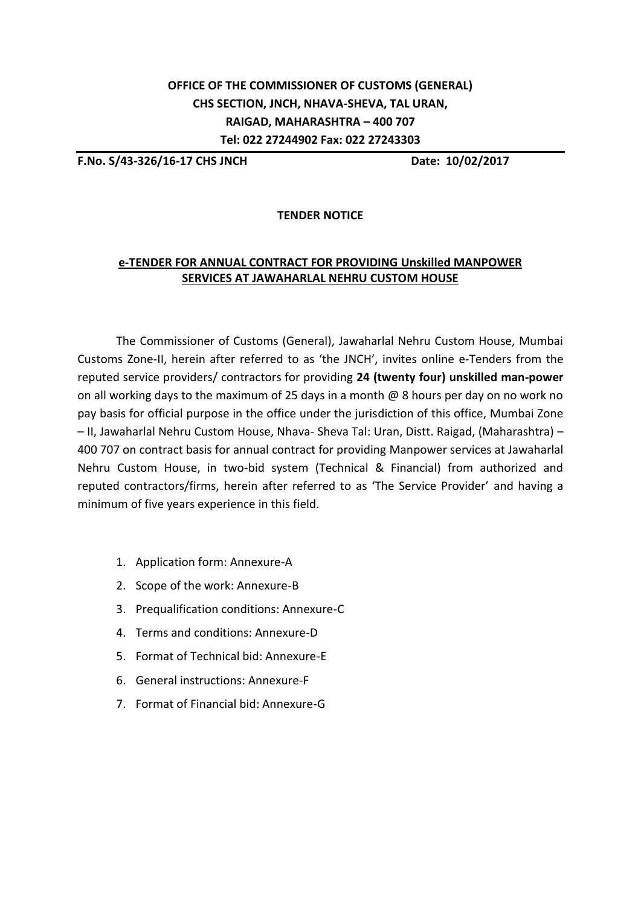## **OFFICE OF THE COMMISSIONER OF CUSTOMS (GENERAL) CHS SECTION, JNCH, NHAVA-SHEVA, TAL URAN, RAIGAD, MAHARASHTRA – 400 707 Tel: 022 27244902 Fax: 022 27243303**

**F.No. S/43-326/16-17 CHS JNCH Date: 10/02/2017**

## **TENDER NOTICE**

## **e-TENDER FOR ANNUAL CONTRACT FOR PROVIDING Unskilled MANPOWER SERVICES AT JAWAHARLAL NEHRU CUSTOM HOUSE**

The Commissioner of Customs (General), Jawaharlal Nehru Custom House, Mumbai Customs Zone-II, herein after referred to as 'the JNCH', invites online e-Tenders from the reputed service providers/ contractors for providing **24 (twenty four) unskilled man-power** on all working days to the maximum of 25 days in a month @ 8 hours per day on no work no pay basis for official purpose in the office under the jurisdiction of this office, Mumbai Zone – II, Jawaharlal Nehru Custom House, Nhava- Sheva Tal: Uran, Distt. Raigad, (Maharashtra) – 400 707 on contract basis for annual contract for providing Manpower services at Jawaharlal Nehru Custom House, in two-bid system (Technical & Financial) from authorized and reputed contractors/firms, herein after referred to as 'The Service Provider' and having a minimum of five years experience in this field.

- 1. Application form: Annexure-A
- 2. Scope of the work: Annexure-B
- 3. Prequalification conditions: Annexure-C
- 4. Terms and conditions: Annexure-D
- 5. Format of Technical bid: Annexure-E
- 6. General instructions: Annexure-F
- 7. Format of Financial bid: Annexure-G